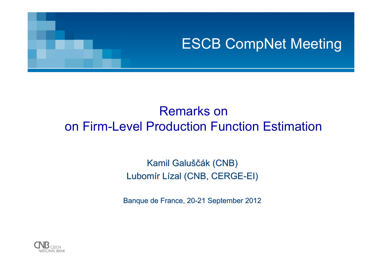## ESCB CompNet Meeting

#### Remarks onon Firm-Level Production Function Estimation

Kamil Galu š č á k (CNB) Lubomír Lízal (CNB, CERGE-EI)

Banque de France, 20-21 September 2012

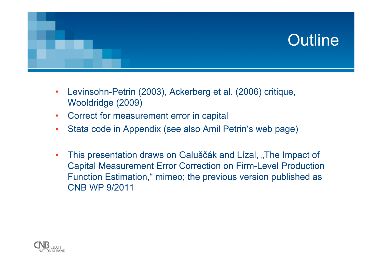

- • Levinsohn-Petrin (2003), Ackerberg et al. (2006) critique, Wooldridge (2009)
- •Correct for measurement error in capital
- •Stata code in Appendix (see also Amil Petrin's web page)
- •This presentation draws on Galuščák and Lízal, "The Impact of Capital Measurement Error Correction on Firm-Level Production Function Estimation," mimeo; the previous version published as CNB WP 9/2011

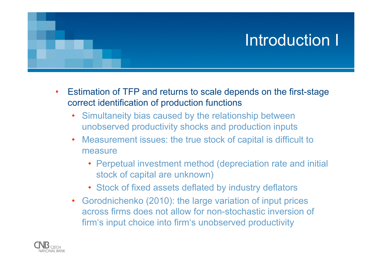# Introduction I

- • Estimation of TFP and returns to scale depends on the first-stage correct identification of production functions
	- • Simultaneity bias caused by the relationship between unobserved productivity shocks and production inputs
	- • Measurement issues: the true stock of capital is difficult to measure
		- Perpetual investment method (depreciation rate and initial stock of capital are unknown)
		- Stock of fixed assets deflated by industry deflators
	- Gorodnichenko (2010): the large variation of input prices across firms does not allow for non-stochastic inversion of firm's input choice into firm's unobserved productivity

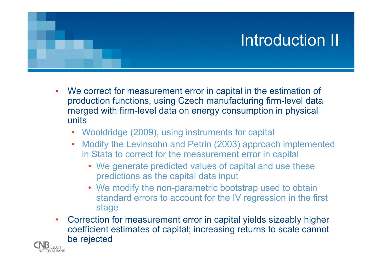# Introduction II

- • We correct for measurement error in capital in the estimation of production functions, using Czech manufacturing firm-level data merged with firm-level data on energy consumption in physical units
	- Wooldridge (2009), using instruments for capital
	- • Modify the Levinsohn and Petrin (2003) approach implemented in Stata to correct for the measurement error in capital
		- We generate predicted values of capital and use these predictions as the capital data input
		- We modify the non-parametric bootstrap used to obtain standard errors to account for the IV regression in the first stage
- • Correction for measurement error in capital yields sizeably higher coefficient estimates of capital; increasing returns to scale cannot be rejected

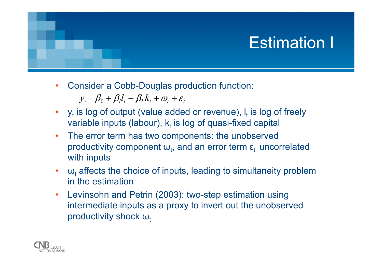# Estimation I

•Consider a Cobb-Douglas production function:

 $y'_{t} = \beta_0 + \beta_l l_t + \beta_k k_t + \omega_t + \varepsilon_t$ 

- ••  $y_t$  is log of output (value added or revenue),  $I_t$  is log of freely variable inputs (labour),  $\mathsf{k}_{\mathsf{t}}$  is log of quasi-fixed capital
- • The error term has two components: the unobserved productivity component  $\omega_{\rm t}$ , and an error term  $\bm{\epsilon}_{\rm t}$  uncorrelated with inputs
- ••  $\omega_t$  affects the choice of inputs, leading to simultaneity problem in the estimation
- • Levinsohn and Petrin (2003): two-step estimation using intermediate inputs as a proxy to invert out the unobserved productivity shock  $\omega_t$

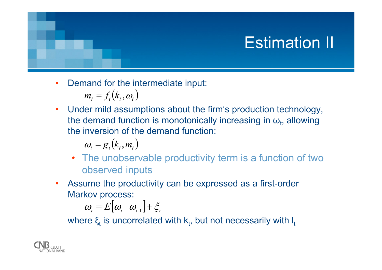# Estimation II

•Demand for the intermediate input:

$$
m_t = f_t(k_t, \omega_t)
$$

• Under mild assumptions about the firm's production technology, the demand function is monotonically increasing in  $\omega_t$ , allowing the inversion of the demand function:

$$
\omega_t = g_t(k_t, m_t)
$$

- The unobservable productivity term is a function of two observed inputs
- • Assume the productivity can be expressed as a first-order Markov process:

$$
\omega_{t} = E[\omega_{t} | \omega_{t-1}] + \xi_{t}
$$

where  $\xi_{\rm t}$  is uncorrelated with k<sub>t</sub>, but not necessarily with l<sub>t</sub>

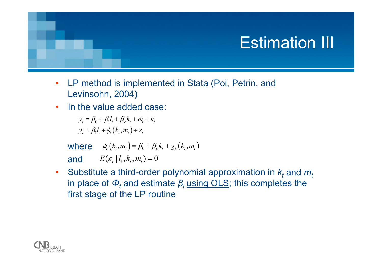# **Estimation III**

- • LP method is implemented in Stata (Poi, Petrin, and Levinsohn, 2004)
- •In the value added case:

 $y_t = \beta_1 l_t + \phi_t (k_t, m_t) + \varepsilon_t$  $y_t = \beta_0 + \beta_1 l_t + \beta_k k_t + \omega_t + \varepsilon_t$ 

where  $\phi_t(k_t, m_t) = \beta_0 + \beta_k k_t + g_t(k_t, m_t)$  $E(\varepsilon_{t} | l_{t}, k_{t}, m_{t}) = 0$ 

•• Substitute a third-order polynomial approximation in  $k_t$  and  $m_t$ in place of *Φt* and estimate *β<sup>l</sup>* using OLS; this completes the first stage of the LP routine

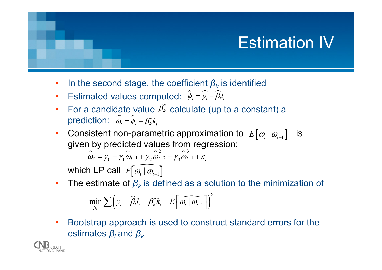# Estimation IV

- • $\cdot$  In the second stage, the coefficient  $\beta_k$  is identified
- •• Estimated values computed:  $\hat{\phi}_t = \hat{y}_t - \widehat{\beta}_l$  $\phi_t = y_t - \beta_l l_t$
- •• For a candidate value  $\beta_k^*$  calculate (up to a constant) a prediction:  $\overset{\frown }{\omega }_{\!\!\! i}=\hat{\phi}$  $\omega_t = \phi_t - \beta_k^* k_t$
- •• Consistent non-parametric approximation to  $E[\omega_{t} | \omega_{t-1}]$  is given by predicted values from regression:

$$
\hat{\omega}_t = \gamma_0 + \gamma_1 \hat{\omega}_{t-1} + \gamma_2 \hat{\omega}_{t-2} + \gamma_3 \hat{\omega}_{t-1} + \varepsilon_t
$$

which LP call  $\left. E\right[ \mathbf{\omega}_t \left| \mathbf{\omega}_{_{t-1}} \right]$ n $E|\,\mathit{\omega}_t\,|\,\mathit{\omega}_{_{t-1}}$ 

•The estimate of *β<sup>k</sup>* is defined as a solution to the minimization of

$$
\min_{\beta_k^*} \sum \left( y_t - \widehat{\beta}_l l_t - \beta_k^* k_t - E\left[ \widehat{\omega_t \mid \omega_{t-1}} \right] \right)^2
$$

• Bootstrap approach is used to construct standard errors for the estimates *βl* and *β<sup>k</sup>*

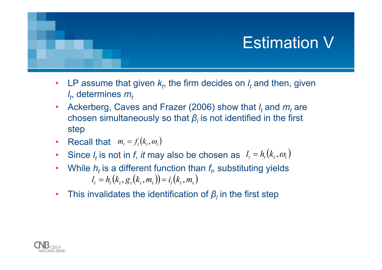# Estimation V

- •• LP assume that given  $k_t$ , the firm decides on  $l_t$  and then, given  $l_t$ , determines  $m_t$
- •• Ackerberg, Caves and Frazer (2006) show that  $l_t$  and  $m_t$  are chosen simultaneously so that *β<sup>l</sup>* is not identified in the first step
- •• Recall that  $m_t = f_t(k_t, \omega_t)$
- •• Since  $l_t$  is not in *f*, *it* may also be chosen as  $l_t = h_t(k_t, \omega_t)$
- •• While  $h_t$  is a different function than  $f_t$ , substituting yields  $l_t = h_t(k_t, g_t(k_t, m_t)) = i_t(k_t, m_t)$
- •This invalidates the identification of *β<sup>l</sup>* in the first step

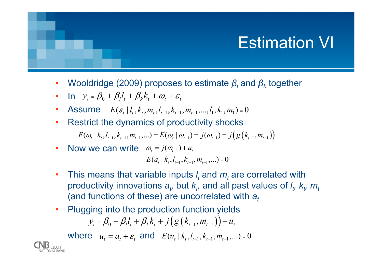# Estimation VI

- •Wooldridge (2009) proposes to estimate *β<sup>l</sup>* and *β<sup>k</sup>* together
- In  $y_i = \beta_0 + \beta_l l_t + \beta_k k_t + \omega_t + \varepsilon_t$
- •• Assume  $E(\varepsilon_t | l_t, k_t, m_t, l_{t-1}, k_{t-1}, m_{t-1},...,l_1, k_1, m_1) = 0$
- •Restrict the dynamics of productivity shocks

$$
E(\omega_t | k_t, l_{t-1}, k_{t-1}, m_{t-1}, \ldots) = E(\omega_t | \omega_{t-1}) = j(\omega_{t-1}) = j(g(k_{t-1}, m_{t-1}))
$$

•• Now we can write  $\omega_t = j(\omega_{t-1}) + a_t$ 

$$
E(a_t | k_t, l_{t-1}, k_{t-1}, m_{t-1}, \ldots) = 0
$$

- •• This means that variable inputs  $l_t$  and  $m_t$  are correlated with productivity innovations  $a_t$ , but  $k_t$ , and all past values of  $l_t$ ,  $k_t$ ,  $m_t$ (and functions of these) are uncorrelated with  $a_t$
- •Plugging into the production function yields

$$
y_{t} = \beta_{0} + \beta_{l} l_{t} + \beta_{k} k_{t} + j(g(k_{t-1}, m_{t-1})) + u_{t}
$$

where  $u_t = a_t + \varepsilon_t$  and  $E(u_t | k_t, l_{t-1}, k_{t-1}, m_{t-1}, ...) = 0$ 

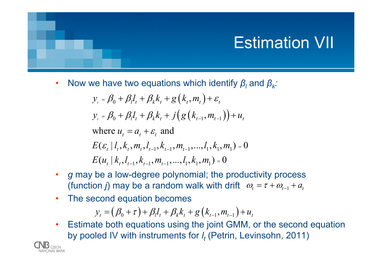# **Estimation VII**

•Now we have two equations which identify *β<sup>l</sup>* and *βk:*

> $y_{t} = \beta_0 + \beta_t l_t + \beta_k k_t + g(k_t, m_t) + \varepsilon_t$  $y'_{t} = \beta_{0} + \beta_{l}l_{t} + \beta_{k}k_{t} + j(g(k_{t-1}, m_{t-1})) + u_{t}$  $E(\varepsilon_{t} | l_{t}, k_{t}, m_{t}, l_{t-1}, k_{t-1}, m_{t-1}, ..., l_{1}, k_{1}, m_{1}) = 0$  $E(u_{t} | k_{t}, l_{t-1}, k_{t-1}, m_{t-1},...,l_{1}, k_{1}, m_{1}) = 0$ where  $u_t = a_t + \varepsilon_t$  and

- • *g* may be a low-degree polynomial; the productivity process (function *j*) may be a random walk with drift  $\quad \omega_{_t} = \tau + \omega_{_{t-1}} + a_{_t}$
- •The second equation becomes

$$
y_{t} = (\beta_{0} + \tau) + \beta_{l}l_{t} + \beta_{k}k_{t} + g(k_{t-1}, m_{t-1}) + u_{t}
$$

• Estimate both equations using the joint GMM, or the second equation by pooled IV with instruments for /<sub>t</sub> (Petrin, Levinsohn, 2011)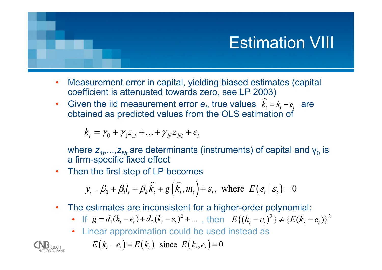# Estimation VIII

- • Measurement error in capital, yielding biased estimates (capital coefficient is attenuated towards zero, see LP 2003)
- •• Given the iid measurement error  $e_t$ , true values  $\hat{k}_t = k_t - e_t$  are obtained as predicted values from the OLS estimation of  $k_t = k_t - e_t$

 $\delta k_t^{} = {\gamma^{}_{0}} + {\gamma^{}_{1}}{\textstyle {\cal Z}^{}_{1t}} + ... + {\gamma^{}_{N}}{\textstyle {\cal Z}^{}_{Nt}} + e^{\beta^{}_{t}}$ 

where  $\textsf{z}_{\textit{1t}}$ ,..., $\textsf{z}_{\textsf{Nt}}$  are determinants (instruments) of capital and  $\textsf{y}_{\textsf{0}}$  is a firm-specific fixed effect

•Then the first step of LP becomes

$$
y_t = \beta_0 + \beta_l l_t + \beta_k \widehat{k}_t + g\left(\widehat{k}_t, m_t\right) + \varepsilon_t, \text{ where } E\left(e_t \mid \varepsilon_t\right) = 0
$$

- • The estimates are inconsistent for a higher-order polynomial:
	- If  $g = d_1(k_t e_t) + d_2(k_t e_t)^2 + ...$ , then  $E\{(k_t e_t)^2\} \neq \{E(k_t e_t)\}^2$
	- Linear approximation could be used instead as

$$
E(kt - et) = E(kt) since E(kt, et) = 0
$$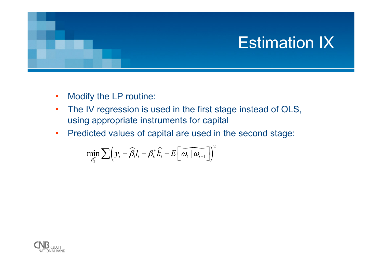# Estimation IX

- $\bullet$ Modify the LP routine:
- • The IV regression is used in the first stage instead of OLS, using appropriate instruments for capital
- •Predicted values of capital are used in the second stage:

$$
\min_{\beta_k^*} \sum \left( y_t - \widehat{\beta}_l l_t - \beta_k^* \widehat{k_t} - E \left[ \widehat{\omega_t \mid \omega_{t-1}} \right] \right)^2
$$

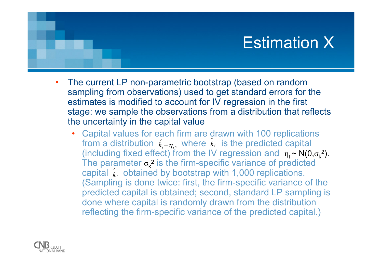# Estimation X

- • The current LP non-parametric bootstrap (based on random sampling from observations) used to get standard errors for the estimates is modified to account for IV regression in the first stage: we sample the observations from a distribution that reflects the uncertainty in the capital value
	- • Capital values for each firm are drawn with 100 replications from a distribution  $\hat{k}_t + \eta_t$ , where  $\hat{k}_t$  is the predicted capital (including fixed effect) from the IV regression and  $\eta_{\sf t}$ ~ N(0, $\sigma_{\sf k}$ 2). The parameter  $\sigma_k^2$  is the firm-specific variance of predicted capital  $\hat{k}_t$  obtained by bootstrap with 1,000 replications. (Sampling is done twice: first, the firm-specific variance of the predicted capital is obtained; second, standard LP sampling is done where capital is randomly drawn from the distribution reflecting the firm-specific variance of the predicted capital.) ∧

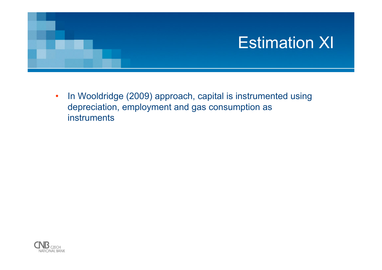# Estimation XI

• In Wooldridge (2009) approach, capital is instrumented using depreciation, employment and gas consumption as instruments

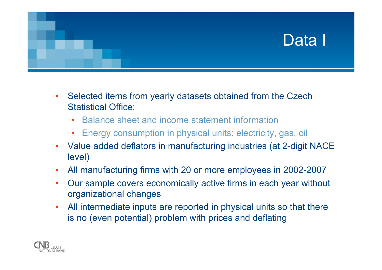# Data I

- • Selected items from yearly datasets obtained from the Czech Statistical Office:
	- •Balance sheet and income statement information
	- •Energy consumption in physical units: electricity, gas, oil
- • Value added deflators in manufacturing industries (at 2-digit NACE level)
- •All manufacturing firms with 20 or more employees in 2002-2007
- • Our sample covers economically active firms in each year without organizational changes
- • All intermediate inputs are reported in physical units so that there is no (even potential) problem with prices and deflating

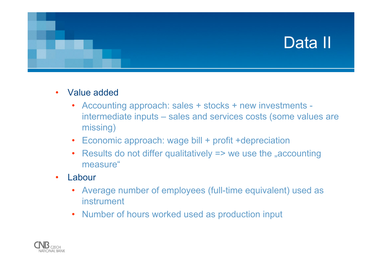# Data II

- • Value added
	- Accounting approach: sales <sup>+</sup> stocks <sup>+</sup> new investments intermediate inputs – sales and services costs (some values are missing)
	- Economic approach: wage bill + profit +depreciation
	- •Results do not differ qualitatively  $\Rightarrow$  we use the "accounting measure"
- • Labour
	- • Average number of employees (full-time equivalent) used as instrument
	- Number of hours worked used as production input

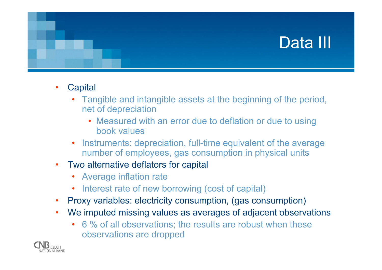# Data III

- •**Capital** 
	- Tangible and intangible assets at the beginning of the period, net of depreciation
		- Measured with an error due to deflation or due to using book values
	- • Instruments: depreciation, full-time equivalent of the average number of employees, gas consumption in physical units
- Two alternative deflators for capital
	- Average inflation rate
	- Interest rate of new borrowing (cost of capital)
- •Proxy variables: electricity consumption, (gas consumption)
- • We imputed missing values as averages of adjacent observations
	- • 6 % of all observations; the results are robust when these observations are dropped

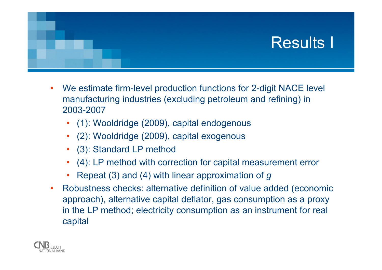# Results I

- • We estimate firm-level production functions for 2-digit NACE level manufacturing industries (excluding petroleum and refining) in 2003-2007
	- (1): Wooldridge (2009), capital endogenous
	- (2): Wooldridge (2009), capital exogenous
	- (3): Standard LP method
	- (4): LP method with correction for capital measurement error
	- •Repeat (3) and (4) with linear approximation of *g*
- • Robustness checks: alternative definition of value added (economic approach), alternative capital deflator, gas consumption as a proxy in the LP method; electricity consumption as an instrument for real capital

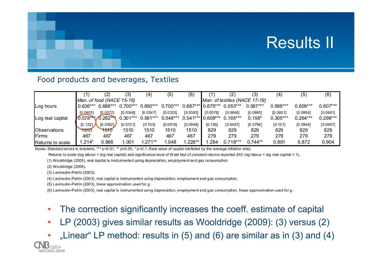## Results II

#### Food products and beverages, Textiles

|                         |             |                           | (3)        | (4)        | (5)        | (6)       |                     | (2         | (3)                           | (4)        | (5)        | (6)        |
|-------------------------|-------------|---------------------------|------------|------------|------------|-----------|---------------------|------------|-------------------------------|------------|------------|------------|
|                         |             | Man. of food (NACE 15-16) |            |            |            |           |                     |            | Man. of textiles (NACE 17-19) |            |            |            |
| Log hours               | $0.636***$  | $0.686***$                | $0.700***$ | $0.690***$ | $0.700***$ |           | $0.687***$ 0.675*** | $0.553***$ | $0.587***$                    | 0.586***   | $0.609***$ | $0.607***$ |
|                         | [0.0403]    | [0.0372]                  | [0.0348]   | [0.0347]   | [0.0323]   | [0.0383]  | [0.0576]            | [0.0866]   | [0.0885]                      | [0.0851]   | [0.0958]   | [0.0881]   |
| Log real capital        | $-0.578***$ | $.282**$                  | $0.301***$ | $0.581***$ | $0.348***$ |           | $0.541***$ 0.609*** | $0.165***$ | $0.156*$                      | $0.305***$ | $0.264***$ | $0.298***$ |
|                         | [0.122]     | [0.0362]                  | [0.0721]   | [0.103]    | [0.0519]   | [0.0994]  | [0.185]             | [0.0487]   | [0.0796]                      | [0.101]    | [0.0946]   | [0.0967]   |
| <b>Observations</b>     | $+51$       | 1510                      | 1510       | 1510       | 1510       | 1510      | 829                 | 829        | 829                           | 829        | 829        | 829        |
| Firms                   | 467         | 467                       | 467        | 467        | 467        | 467       | 279                 | 279        | 279                           | 279        | 279        | 279        |
| <b>Returns to scale</b> | .214*       | 0.968                     | 1.001      | $1.271**$  | .048       | $1.228**$ | .284                | $0.718***$ | $0.744**$                     | 0.891      | 0.872      | 0.904      |

Notes: Standard errors in brackets, \*\*\* p<0.01, \*\* p<0.05, \*p<0.1. Real value of capital (deflated by the average inflation rate).

Returns to scale (log labour + log real capital) and significance level of W ald test of constant returns reported (H0: log labour + log real capital = 1).

(1) Wooldridge (2009), real capital is instrumented using depreciation, employment and gas consumption.

(2) Wooldridge (2009).

(3) Levinsohn-Petrin (2003).

(4) Levinsohn-Petrin (2003), real capital is instrumented using depreciation, employment and gas consumption.

(5) Levinsohn-Petrin (2003), linear approximation used for *g* .

(6) Levinsohn-Petrin (2003), real capital is instrumented using depreciation, employment and gas consumption, linear approximation used for *g* .

- •The correction significantly increases the coeff. estimate of capital
- •LP (2003) gives similar results as Wooldridge (2009): (3) versus (2)

•"Linear" LP method: results in  $(5)$  and  $(6)$  are similar as in  $(3)$  and  $(4)$ 

'I∩NAI RANk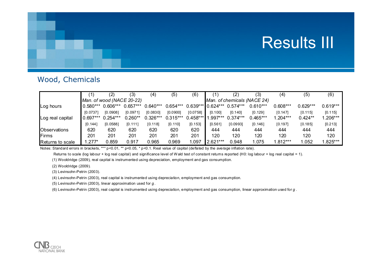## Results III

#### Wood, Chemicals

|                         |                           | (2)        | (3)        | $\left(4\right)$ | (5)        | (6)        |                             | 2          | (3)        | (4)        | (5)        | (6)        |  |
|-------------------------|---------------------------|------------|------------|------------------|------------|------------|-----------------------------|------------|------------|------------|------------|------------|--|
|                         | Man. of wood (NACE 20-22) |            |            |                  |            |            | Man. of chemicals (NACE 24) |            |            |            |            |            |  |
| Log hours               | $0.580***$                | $0.606***$ | $0.657***$ | $0.640***$       | $0.654***$ |            | $0.639***$ 0.624***         | $0.574***$ | $0.610***$ | $0.608***$ | $0.629***$ | $0.619***$ |  |
|                         | [0.0737]                  | [0.0908]   | [0.0971]   | [0.0830]         | [0.0900]   | [0.0758]   | [0.100]                     | [0.140]    | [0.129]    | [0.147]    | [0.115]    | [0.115]    |  |
| Log real capital        | $0.697***$                | $0.254***$ | $0.260**$  | $0.326***$       | $0.315***$ | $0.458***$ | .997***                     | $0.374***$ | $0.465***$ | 1.204***   | $0.424**$  | $1.206***$ |  |
|                         | [0.144]                   | [0.0588]   | [0.111]    | [0.118]          | [0.110]    | [0.153]    | [0.561]                     | [0.0993]   | [0.146]    | [0.197]    | [0.185]    | [0.213]    |  |
| <b>Observations</b>     | 620                       | 620        | 620        | 620              | 620        | 620        | 444                         | 444        | 444        | 444        | 444        | 444        |  |
| <b>Firms</b>            | 201                       | 201        | 201        | 201              | 201        | 201        | 120                         | 120        | 120        | 120        | 120        | 120        |  |
| <b>Returns to scale</b> | $.277*$                   | 0.859      | 0.917      | 0.965            | 0.969      | 1.097      | 2.621***                    | 0.948      | 1.075      | 1.812***   | 1.052      | .825***    |  |

Notes: Standard errors in brackets, \*\*\* p<0.01, \*\* p<0.05, \*p<0.1. Real value of capital (deflated by the average inflation rate).

Returns to scale (log labour + log real capital) and significance level of W ald test of constant returns reported (H0: log labour + log real capital = 1).

(1) Wooldridge (2009), real capital is instrumented using depreciation, employment and gas consumption.

(2) Wooldridge (2009).

(3) Levinsohn-Petrin (2003).

(4) Levinsohn-Petrin (2003), real capital is instrumented using depreciation, employment and gas consumption.

(5) Levinsohn-Petrin (2003), linear approximation used for *g* .

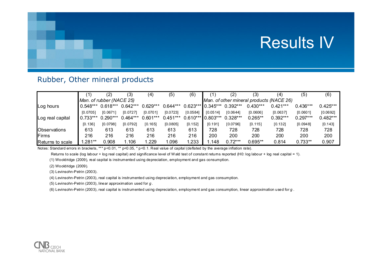## Results IV

#### Rubber, Other mineral products

|                         |                          |                 | (3)        | (4)        | (5)        | (6)      |                     | (2         | $\left( 3\right)$ | (4)                                      | (5)        | (6)        |
|-------------------------|--------------------------|-----------------|------------|------------|------------|----------|---------------------|------------|-------------------|------------------------------------------|------------|------------|
|                         | Man. of rubber (NACE 25) |                 |            |            |            |          |                     |            |                   | Man. of other mineral products (NACE 26) |            |            |
| Log hours               | $0.548***$               | $0.618***$      | $0.642***$ | $0.629***$ | $0.644***$ |          | $0.623***$ 0.345*** | $0.392***$ | $0.430***$        | $0.421***$                               | $0.436***$ | $0.425***$ |
|                         | [0.0705]                 | <b>IO.06711</b> | [0.0727]   | [0.0701]   | [0.0723]   | [0.0584] | [0.0514]            | [0.0644]   | [0.0606]          | [0.0637]                                 | [0.0601]   | [0.0692]   |
| Log real capital        | $0.733***$               | $0.290***$      | $0.464***$ | $0.601***$ | $0.451***$ |          | $0.610***$ 0.803*** | $0.328***$ | $0.265**$         | $0.392***$                               | $0.297***$ | $0.482***$ |
|                         | [0.136]                  | 10.07981        | [0.0792]   | [0.165]    | [0.0805]   | [0.152]  | [0.191]             | [0.0796]   | [0.115]           | [0.132]                                  | [0.0948]   | [0.143]    |
| <b>Observations</b>     | 613                      | 613             | 613        | 613        | 613        | 613      | 728                 | 728        | 728               | 728                                      | 728        | 728        |
| Firms                   | 216                      | 216             | 216        | 216        | 216        | 216      | 200                 | 200        | 200               | 200                                      | 200        | 200        |
| <b>Returns to scale</b> | .281**                   | 0.908           | .106       | 1.229      | .096       | .233     | l.148               | $0.72***$  | $0.695**$         | 0.814                                    | $0.733**$  | 0.907      |

Notes: Standard errors in brackets, \*\*\* p<0.01, \*\* p<0.05, \*p<0.1. Real value of capital (deflated by the average inflation rate).

Returns to scale (log labour + log real capital) and significance level of W ald test of constant returns reported (H0: log labour + log real capital = 1).

(1) Wooldridge (2009), real capital is instrumented using depreciation, employment and gas consumption.

(2) Wooldridge (2009).

(3) Levinsohn-Petrin (2003).

(4) Levinsohn-Petrin (2003), real capital is instrumented using depreciation, employment and gas consumption.

(5) Levinsohn-Petrin (2003), linear approximation used for *g* .

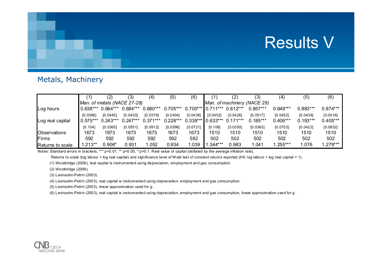## Results V

#### Metals, Machinery

|                         |            |            | 3)                          | $\left( 4\right)$ | (5)        | (6)        |                     | (2         | (3)                         | (4)        | (5)        | (6)        |
|-------------------------|------------|------------|-----------------------------|-------------------|------------|------------|---------------------|------------|-----------------------------|------------|------------|------------|
|                         |            |            | Man. of metals (NACE 27-28) |                   |            |            |                     |            | Man. of machinery (NACE 29) |            |            |            |
| Log hours               | $0.638***$ | $0.664***$ | $0.684***$                  | $0.680***$        | $0.705***$ |            | $0.700***$ 0.711*** | $0.812***$ | $0.857***$                  | $0.849***$ | $0.883***$ | $0.874***$ |
|                         | [0.0398]   | [0.0445]   | [0.0430]                    | [0.0379]          | [0.0404]   | [0.0438]   | [0.0452]            | [0.0426]   | [0.0517]                    | [0.0452]   | [0.0438]   | [0.0416]   |
| Log real capital        | $0.575***$ | $0.243***$ | $0.247***$                  | $-0.371***$       | $0.228***$ | $0.339***$ | $0.633***$          | $0.171***$ | $0.185***$                  | $0.406***$ | $0.193***$ | $0.405***$ |
|                         | [0.104]    | [0.0365]   | [0.0551]                    | [0.0912]          | [0.0596]   | [0.0721]   | [0.108]             | [0.0350]   | [0.0363]                    | [0.0753]   | [0.0422]   | [0.0852]   |
| <b>Observations</b>     | 1673       | 1673       | 1673                        | 1673              | 1673       | 1673       | 1510                | 1510       | 1510                        | 1510       | 1510       | 1510       |
| Firms                   | 592        | 592        | 592                         | 592               | 592        | 592        | 502                 | 502        | 502                         | 502        | 502        | 502        |
| <b>Returns to scale</b> | $.213**$   | $0.906*$   | 0.931                       | 1.052             | 0.934      | 1.039      | $.344***$           | 0.983      | 1.041                       | 1.255***   | 1.076      | .279***    |

Notes: Standard errors in brackets, \*\*\* p<0.01, \*\* p<0.05, \*p<0.1. Real value of capital (deflated by the average inflation rate).

Returns to scale (log labour + log real capital) and significance level of W ald test of constant returns reported (H0: log labour + log real capital = 1).

(1) Wooldridge (2009), real capital is instrumented using depreciation, employment and gas consumption.

(2) Wooldridge (2009).

(3) Levinsohn-Petrin (2003).

(4) Levinsohn-Petrin (2003), real capital is instrumented using depreciation, employment and gas consumption.

(5) Levinsohn-Petrin (2003), linear approximation used for *g* .

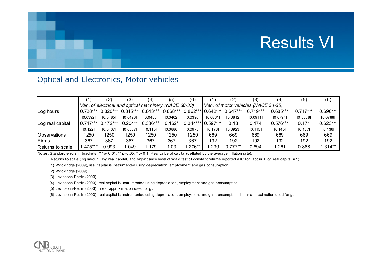## Results VI

#### Optical and Electronics, Motor vehicles

|                         |            |            | $\left( 3\right)$ | (4)                                                   | (5)        | (6)        |                     | (2         | (3)                                 | $\left( 4\right)$ | (5)        | (6)        |
|-------------------------|------------|------------|-------------------|-------------------------------------------------------|------------|------------|---------------------|------------|-------------------------------------|-------------------|------------|------------|
|                         |            |            |                   | Man. of electrical and optical machinery (NACE 30-33) |            |            |                     |            | Man. of motor vehicles (NACE 34-35) |                   |            |            |
| Log hours               | $0.728***$ | $0.820***$ | $0.845***$        | $0.843***$                                            | $0.868***$ |            | $0.862***$ 0.642*** | $0.647***$ | $0.719***$                          | $0.685***$        | $0.717***$ | $0.690***$ |
|                         | [0.0392]   | [0.0485]   | [0.0493]          | [0.0453]                                              | [0.0402]   | [0.0396]   | [0.0861]            | [0.0812]   | [0.0911]                            | [0.0794]          | [0.0868]   | [0.0788]   |
| Log real capital        | $0.747***$ | $0.172***$ | 0.204**           | $0.336***$                                            | $0.162*$   | $0.344***$ | $0.597***$          | 0.13       | 0.174                               | $0.576***$        | 0.171      | $0.623***$ |
|                         | [0.122]    | [0.0437]   | [0.0837]          | [0.115]                                               | [0.0886]   | [0.0975]   | [0.176]             | [0.0923]   | [0.115]                             | [0.145]           | [0.107]    | [0.136]    |
| <b>Observations</b>     | 1250       | 1250       | 1250              | 1250                                                  | 1250       | 1250       | 669                 | 669        | 669                                 | 669               | 669        | 669        |
| <b>Firms</b>            | 367        | 367        | 367               | 367                                                   | 367        | 367        | 192                 | 192        | 192                                 | 192               | 192        | 192        |
| <b>Returns to scale</b> | .475***    | 0.993      | 1.049             | 1.179                                                 | 1.03       | $.206**$   | .239                | 0.777**    | 0.894                               | 1.261             | 0.888      | $1.314**$  |

Notes: Standard errors in brackets, \*\*\* p<0.01, \*\* p<0.05, \* p<0.1. Real value of capital (deflated by the average inflation rate).

Returns to scale (log labour + log real capital) and significance level of W ald test of constant returns reported (H0: log labour + log real capital = 1).

(1) Wooldridge (2009), real capital is instrumented using depreciation, employment and gas consumption.

(2) Wooldridge (2009).

(3) Levinsohn-Petrin (2003).

(4) Levinsohn-Petrin (2003), real capital is instrumented using depreciation, employment and gas consumption.

(5) Levinsohn-Petrin (2003), linear approximation used for *g* .

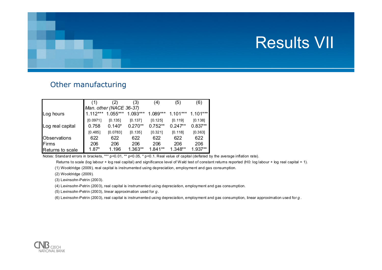## Results VII

#### Other manufacturing

|                         |            | 2)                      | (3)        | (4)        | (5)        | (6)        |
|-------------------------|------------|-------------------------|------------|------------|------------|------------|
|                         |            | Man. other (NACE 36-37) |            |            |            |            |
| Log hours               | $1.112***$ | $1.055***$              | $1.093***$ | $1.089***$ | $1.101***$ | $1.101***$ |
|                         | [0.0971]   | [0.135]                 | [0.137]    | [0.125]    | [0.119]    | [0.138]    |
| Log real capital        | 0.758      | $0.140*$                | $0.270**$  | $0.752**$  | $0.247**$  | $0.837**$  |
|                         | [0.485]    | [0.0783]                | [0.135]    | [0.321]    | [0.118]    | [0.363]    |
| <b>Observations</b>     | 622        | 622                     | 622        | 622        | 622        | 622        |
| <b>IFirms</b>           | 206        | 206                     | 206        | 206        | 206        | 206        |
| <b>Returns to scale</b> | $1.87*$    | 1.196                   | $1.363**$  | $1.841**$  | $1.348**$  | 1.937**    |

Notes: Standard errors in brackets, \*\*\* p<0.01, \*\* p<0.05, \*p<0.1. Real value of capital (deflated by the average inflation rate).

Returns to scale (log labour + log real capital) and significance level of W ald test of constant returns reported (H0: log labour + log real capital = 1).

(1) Wooldridge (2009), real capital is instrumented using depreciation, employment and gas consumption.

(2) Wooldridge (2009).

(3) Levinsohn-Petrin (2003).

(4) Levinsohn-Petrin (2003), real capital is instrumented using depreciation, employment and gas consumption.

(5) Levinsohn-Petrin (2003), linear approximation used for *g* .

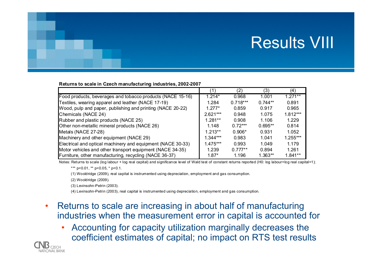# Results VIII

#### **Returns to scale in Czech manufacturing industries, 2002-2007**

|                                                             |            | (2)        | (3)       | (4)        |
|-------------------------------------------------------------|------------|------------|-----------|------------|
| Food products, beverages and tobacco products (NACE 15-16)  | $1.214*$   | 0.968      | 1.001     | $1.271**$  |
| Textiles, wearing apparel and leather (NACE 17-19)          | 1.284      | $0.718***$ | $0.744**$ | 0.891      |
| Wood, pulp and paper, publishing and printing (NACE 20-22)  | $1.277*$   | 0.859      | 0.917     | 0.965      |
| Chemicals (NACE 24)                                         | $2.621***$ | 0.948      | 1.075     | $1.812***$ |
| Rubber and plastic products (NACE 25)                       | $1.281**$  | 0.908      | 1.106     | 1.229      |
| Other non-metallic mineral products (NACE 26)               | 1.148      | $0.72***$  | $0.695**$ | 0.814      |
| Metals (NACE 27-28)                                         | $1.213**$  | $0.906*$   | 0.931     | 1.052      |
| Machinery and other equipment (NACE 29)                     | $1.344***$ | 0.983      | 1.041     | $1.255***$ |
| Electrical and optical machinery and equipment (NACE 30-33) | $1.475***$ | 0.993      | 1.049     | 1.179      |
| Motor vehicles and other transport equipment (NACE 34-35)   | 1.239      | $0.777**$  | 0.894     | 1.261      |
| Furniture, other manufacturing, recycling (NACE 36-37)      | $1.87*$    | 1.196      | 1.363**   | $1.841**$  |

Notes: Returns to scale (log labour + log real capital) and significance level of Wald test of constant returns reported (H0: log labour+log real capital=1);

\*\*\*  $p<0.01$ , \*\*  $p<0.05$ , \*  $p<0.1$ .

(1) Wooldridge (2009), real capital is instrumented using depreciation, employment and gas consumption.

(2) Wooldridge (2009).

(3) Levinsohn-Petrin (2003).

(4) Levinsohn-Petrin (2003), real capital is instrumented using depreciation, employment and gas consumption.

- • Returns to scale are increasing in about half of manufacturing industries when the measurement error in capital is accounted for
	- • Accounting for capacity utilization marginally decreases the coefficient estimates of capital; no impact on RTS test results

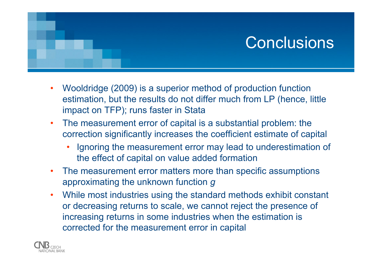# **Conclusions**

- • Wooldridge (2009) is a superior method of production function estimation, but the results do not differ much from LP (hence, little impact on TFP); runs faster in Stata
- • The measurement error of capital is a substantial problem: the correction significantly increases the coefficient estimate of capital
	- • Ignoring the measurement error may lead to underestimation of the effect of capital on value added formation
- • The measurement error matters more than specific assumptions approximating the unknown function *g*
- • While most industries using the standard methods exhibit constant or decreasing returns to scale, we cannot reject the presence of increasing returns in some industries when the estimation is corrected for the measurement error in capital

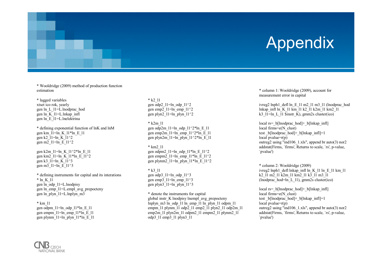## Appendix

\* Wooldridge (2009) method of production function estimation

\* lagged variables xtset ico rok, yearly gen ln\_L\_l1=L.lnodprac\_hod gen  $\ln K$  11=L. lnkap infl gen ln\_E\_l1=L.lnelektrina

\* defining exponential function of lnK and lnM gen km  $11=ln K 11*ln E 11$ gen k2 $\overline{11}$ =ln $\overline{K}$  $\overline{11^2}$ 2 gen m2 $\overline{\phantom{a}}$ 11=ln $\overline{\phantom{a}}$ E $\overline{\phantom{a}}$ 11^2

gen k2m  $11=ln K 11^2*ln E 11$ gen km2 $\overline{11}$ =ln $\overline{K}$  $\overline{11*}$ ln  $\overline{E}$  $\overline{11^2}$ 2 gen k3  $1\overline{1}$ =ln K  $1\overline{1}$ <sup> $\wedge$ 3</sup> gen m3 $11=ln E 11^{3}$ 

\* defining instruments for capital and its interations  $*$  ln K 11 gen ln\_odp\_l1=L.lnodpisy gen ln\_emp\_l1=L.empl\_avg\_prepocteny gen ln\_plyn\_l1=L.lnplyn\_m3

\* km\_l1 gen odpm\_l1=ln\_odp\_l1\*ln\_E\_l1 gen empm  $11=ln$  emp  $11*ln$  E 11 gen plynm  $11=ln$  plyn  $11*ln E$  11  $* k2 11$ gen odp2  $11=ln$  odp  $11^2$ gen emp<sub>2</sub>  $11=ln$  emp<sub>11</sub> $\textdegree$ 2 gen plyn $2$  11=ln\_plyn\_11^2

\* k2m\_l1 gen odp2m\_l1=ln\_odp\_l1^2\*ln\_E\_l1 gen emp2m\_l1=ln\_emp\_l1^2\*ln\_E\_l1 gen plyn $2m$  11=ln\_plyn\_l1^2\*ln\_E\_l1

\* km2\_l1 gen odpm2  $11=ln$  odp  $11*ln E$   $11^2$ gen empm2 $\overline{\phantom{a}}$ l1=ln emp  $\overline{\phantom{a}}$ l1\*ln E l1^2 gen plynm $2$  11=ln\_plyn\_l1\*ln\_E\_l1^2

 $* k3 11$ gen odp3  $11=ln$  odp  $11^3$ gen emp3  $11=ln$  emp  $11^3$ gen plyn $3$  11=ln plyn 11 $\sim$ 3

\* denote the instruments for capital global instr\_K lnodpisy lnempl\_avg\_prepocteny lnplyn m3  $\overline{ln}$  odp 11 ln emp 11 ln plyn 11 odpm 11 empm $\overline{11}$  plynm $\overline{11}$  odp $\overline{2}$  $\overline{11}$  emp2 $\overline{11}$  plyn2 $\overline{11}$  odp2m $\overline{11}$ emp2m\_l1 plyn2m\_l1 odpm2\_l1 empm2\_l1 plynm2\_l1 odp3\_l1 emp3\_l1 plyn3\_l1

\* column 1: Wooldridge (2009), account for measurement error in capital

ivreg2 lnph1\_defl ln\_E\_l1 m2\_l1 m3\_l1 (lnodprac\_hod lnkap\_infl ln\_K\_l1 km\_l1 k2\_l1 k2m\_l1 km2\_l1 k3  $\hat{11}$ =ln L  $\overline{11}$   $\overline{S}$ instr K), gmm2s cluster(ico)

local rs= $b[$ lnodprac\_hod]+ $b[$ lnkap\_infl] local firms=e(N\_clust) test  $b[$ lnodprac hod $]+$   $b[$ lnkap infl $]=1$  $local \overline{pvalue} = r(p)$ outreg2 using "ind106  $1.xls$ ", append br auto(3) nor2 addstat(Firms, `firms', Returns to scale, `rs', p-value, `pvalue')

\* column 2: Wooldridge (2009) ivreg2 lnph1\_defl lnkap\_infl ln\_K\_l1 ln\_E\_l1 km\_l1 k2\_l1 m2\_l1 k2m\_l1 km2\_l1 k3\_l1 m3\_l1  $($ lnodprachod=lnL $\vert$ 11), gmm2s cluster $(ico)$ 

 $local rs = b[Inodprac-hod]+b[Inkap infl]$ local firms= $e(N$  clust) test  $b[$ lnodprac hod $]+$   $b[$ lnkap infl $]=1$ local pvalue= $r(p)$ outreg2 using "ind106\_1.xls", append br auto(3) nor2 addstat(Firms, `firms', Returns to scale, `rs', p-value, `pvalue')